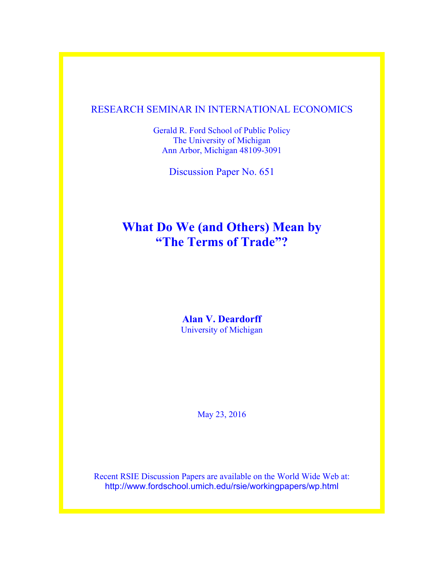# RESEARCH SEMINAR IN INTERNATIONAL ECONOMICS

Gerald R. Ford School of Public Policy The University of Michigan Ann Arbor, Michigan 48109-3091

Discussion Paper No. 651

# **What Do We (and Others) Mean by "The Terms of Trade"?**

**Alan V. Deardorff** University of Michigan

May 23, 2016

Recent RSIE Discussion Papers are available on the World Wide Web at: http://www.fordschool.umich.edu/rsie/workingpapers/wp.html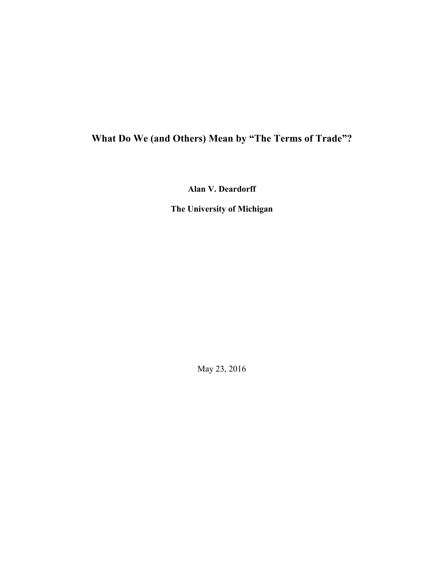# **What Do We (and Others) Mean by "The Terms of Trade"?**

**Alan V. Deardorff**

**The University of Michigan**

May 23, 2016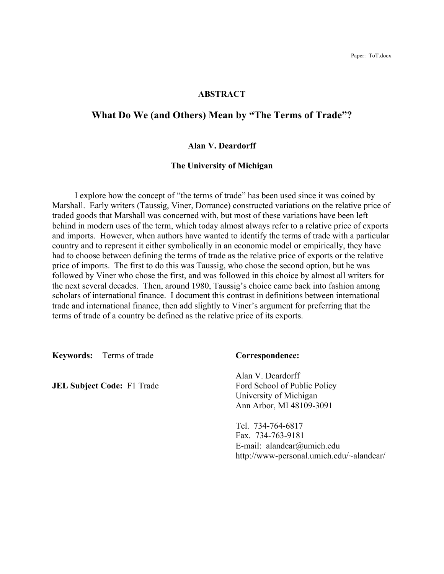#### **ABSTRACT**

### **What Do We (and Others) Mean by "The Terms of Trade"?**

#### **Alan V. Deardorff**

#### **The University of Michigan**

I explore how the concept of "the terms of trade" has been used since it was coined by Marshall. Early writers (Taussig, Viner, Dorrance) constructed variations on the relative price of traded goods that Marshall was concerned with, but most of these variations have been left behind in modern uses of the term, which today almost always refer to a relative price of exports and imports. However, when authors have wanted to identify the terms of trade with a particular country and to represent it either symbolically in an economic model or empirically, they have had to choose between defining the terms of trade as the relative price of exports or the relative price of imports. The first to do this was Taussig, who chose the second option, but he was followed by Viner who chose the first, and was followed in this choice by almost all writers for the next several decades. Then, around 1980, Taussig's choice came back into fashion among scholars of international finance. I document this contrast in definitions between international trade and international finance, then add slightly to Viner's argument for preferring that the terms of trade of a country be defined as the relative price of its exports.

**Keywords:** Terms of trade **Correspondence:** 

**JEL Subject Code:** F1 Trade Ford School of Public Policy

Alan V. Deardorff University of Michigan Ann Arbor, MI 48109-3091

Tel. 734-764-6817 Fax. 734-763-9181 E-mail: alandear@umich.edu http://www-personal.umich.edu/~alandear/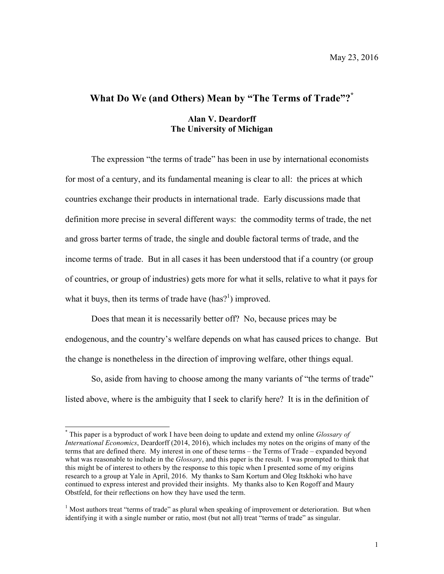# **What Do We (and Others) Mean by "The Terms of Trade"?\***

#### **Alan V. Deardorff The University of Michigan**

The expression "the terms of trade" has been in use by international economists for most of a century, and its fundamental meaning is clear to all: the prices at which countries exchange their products in international trade. Early discussions made that definition more precise in several different ways: the commodity terms of trade, the net and gross barter terms of trade, the single and double factoral terms of trade, and the income terms of trade. But in all cases it has been understood that if a country (or group of countries, or group of industries) gets more for what it sells, relative to what it pays for what it buys, then its terms of trade have  $(has?<sup>1</sup>)$  improved.

Does that mean it is necessarily better off? No, because prices may be endogenous, and the country's welfare depends on what has caused prices to change. But the change is nonetheless in the direction of improving welfare, other things equal.

So, aside from having to choose among the many variants of "the terms of trade" listed above, where is the ambiguity that I seek to clarify here? It is in the definition of

 <sup>\*</sup> This paper is a byproduct of work I have been doing to update and extend my online *Glossary of International Economics*, Deardorff (2014, 2016), which includes my notes on the origins of many of the terms that are defined there. My interest in one of these terms – the Terms of Trade – expanded beyond what was reasonable to include in the *Glossary*, and this paper is the result. I was prompted to think that this might be of interest to others by the response to this topic when I presented some of my origins research to a group at Yale in April, 2016. My thanks to Sam Kortum and Oleg Itskhoki who have continued to express interest and provided their insights. My thanks also to Ken Rogoff and Maury Obstfeld, for their reflections on how they have used the term.

<sup>&</sup>lt;sup>1</sup> Most authors treat "terms of trade" as plural when speaking of improvement or deterioration. But when identifying it with a single number or ratio, most (but not all) treat "terms of trade" as singular.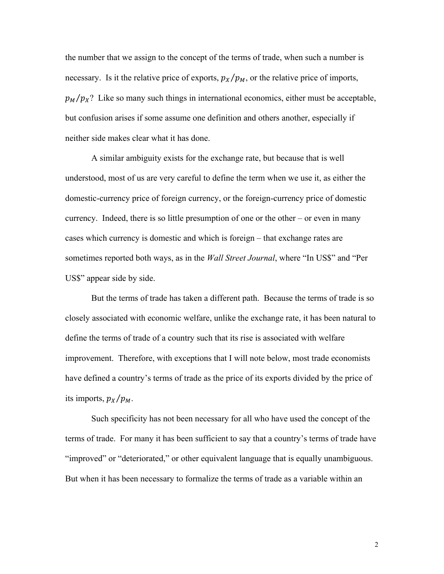the number that we assign to the concept of the terms of trade, when such a number is necessary. Is it the relative price of exports,  $p_X/p_M$ , or the relative price of imports,  $p_M/p_X$ ? Like so many such things in international economics, either must be acceptable, but confusion arises if some assume one definition and others another, especially if neither side makes clear what it has done.

A similar ambiguity exists for the exchange rate, but because that is well understood, most of us are very careful to define the term when we use it, as either the domestic-currency price of foreign currency, or the foreign-currency price of domestic currency. Indeed, there is so little presumption of one or the other – or even in many cases which currency is domestic and which is foreign – that exchange rates are sometimes reported both ways, as in the *Wall Street Journal*, where "In US\$" and "Per US\$" appear side by side.

But the terms of trade has taken a different path. Because the terms of trade is so closely associated with economic welfare, unlike the exchange rate, it has been natural to define the terms of trade of a country such that its rise is associated with welfare improvement. Therefore, with exceptions that I will note below, most trade economists have defined a country's terms of trade as the price of its exports divided by the price of its imports,  $p_X/p_M$ .

Such specificity has not been necessary for all who have used the concept of the terms of trade. For many it has been sufficient to say that a country's terms of trade have "improved" or "deteriorated," or other equivalent language that is equally unambiguous. But when it has been necessary to formalize the terms of trade as a variable within an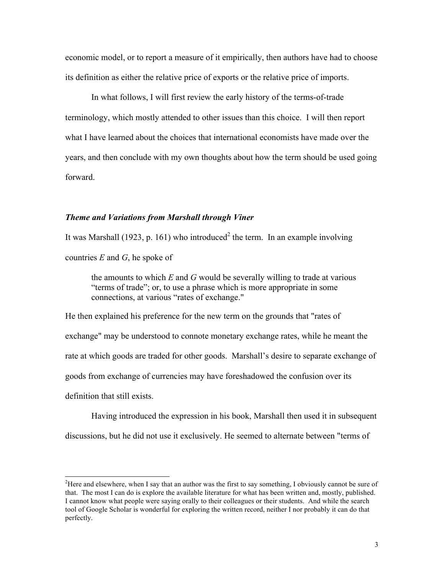economic model, or to report a measure of it empirically, then authors have had to choose its definition as either the relative price of exports or the relative price of imports.

In what follows, I will first review the early history of the terms-of-trade terminology, which mostly attended to other issues than this choice. I will then report what I have learned about the choices that international economists have made over the years, and then conclude with my own thoughts about how the term should be used going forward.

#### *Theme and Variations from Marshall through Viner*

It was Marshall (1923, p. 161) who introduced<sup>2</sup> the term. In an example involving countries *E* and *G*, he spoke of

the amounts to which *E* and *G* would be severally willing to trade at various "terms of trade"; or, to use a phrase which is more appropriate in some connections, at various "rates of exchange."

He then explained his preference for the new term on the grounds that "rates of exchange" may be understood to connote monetary exchange rates, while he meant the rate at which goods are traded for other goods. Marshall's desire to separate exchange of goods from exchange of currencies may have foreshadowed the confusion over its definition that still exists.

Having introduced the expression in his book, Marshall then used it in subsequent discussions, but he did not use it exclusively. He seemed to alternate between "terms of

 <sup>2</sup> Here and elsewhere, when I say that an author was the first to say something, I obviously cannot be sure of that. The most I can do is explore the available literature for what has been written and, mostly, published. I cannot know what people were saying orally to their colleagues or their students. And while the search tool of Google Scholar is wonderful for exploring the written record, neither I nor probably it can do that perfectly.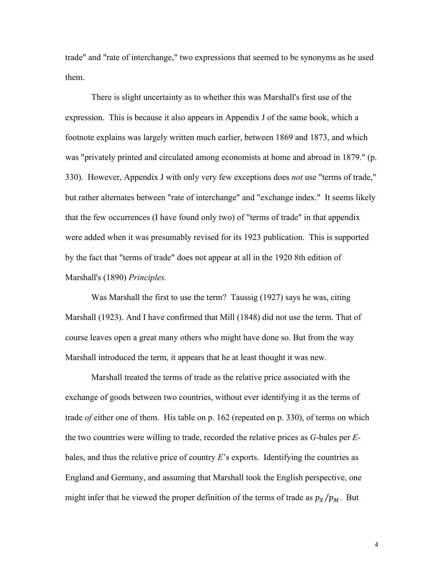trade" and "rate of interchange," two expressions that seemed to be synonyms as he used them.

There is slight uncertainty as to whether this was Marshall's first use of the expression. This is because it also appears in Appendix J of the same book, which a footnote explains was largely written much earlier, between 1869 and 1873, and which was "privately printed and circulated among economists at home and abroad in 1879." (p. 330). However, Appendix J with only very few exceptions does *not* use "terms of trade," but rather alternates between "rate of interchange" and "exchange index." It seems likely that the few occurrences (I have found only two) of "terms of trade" in that appendix were added when it was presumably revised for its 1923 publication. This is supported by the fact that "terms of trade" does not appear at all in the 1920 8th edition of Marshall's (1890) *Principles.*

Was Marshall the first to use the term? Taussig (1927) says he was, citing Marshall (1923). And I have confirmed that Mill (1848) did not use the term. That of course leaves open a great many others who might have done so. But from the way Marshall introduced the term, it appears that he at least thought it was new.

Marshall treated the terms of trade as the relative price associated with the exchange of goods between two countries, without ever identifying it as the terms of trade *of* either one of them. His table on p. 162 (repeated on p. 330), of terms on which the two countries were willing to trade, recorded the relative prices as *G*-bales per *E*bales, and thus the relative price of country *E*'s exports. Identifying the countries as England and Germany, and assuming that Marshall took the English perspective, one might infer that he viewed the proper definition of the terms of trade as  $p_X/p_M$ . But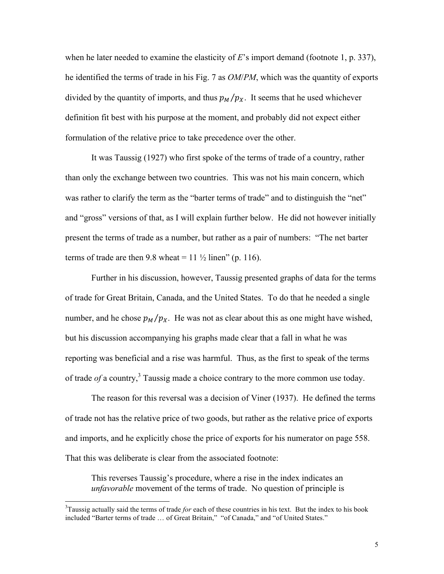when he later needed to examine the elasticity of *E*'s import demand (footnote 1, p. 337), he identified the terms of trade in his Fig. 7 as *OM*/*PM*, which was the quantity of exports divided by the quantity of imports, and thus  $p_M/p_X$ . It seems that he used whichever definition fit best with his purpose at the moment, and probably did not expect either formulation of the relative price to take precedence over the other.

It was Taussig (1927) who first spoke of the terms of trade of a country, rather than only the exchange between two countries. This was not his main concern, which was rather to clarify the term as the "barter terms of trade" and to distinguish the "net" and "gross" versions of that, as I will explain further below. He did not however initially present the terms of trade as a number, but rather as a pair of numbers: "The net barter terms of trade are then 9.8 wheat =  $11 \frac{1}{2}$  linen" (p. 116).

Further in his discussion, however, Taussig presented graphs of data for the terms of trade for Great Britain, Canada, and the United States. To do that he needed a single number, and he chose  $p_M/p_X$ . He was not as clear about this as one might have wished, but his discussion accompanying his graphs made clear that a fall in what he was reporting was beneficial and a rise was harmful. Thus, as the first to speak of the terms of trade *of* a country,<sup>3</sup> Taussig made a choice contrary to the more common use today.

The reason for this reversal was a decision of Viner (1937). He defined the terms of trade not has the relative price of two goods, but rather as the relative price of exports and imports, and he explicitly chose the price of exports for his numerator on page 558. That this was deliberate is clear from the associated footnote:

This reverses Taussig's procedure, where a rise in the index indicates an *unfavorable* movement of the terms of trade. No question of principle is

<sup>&</sup>lt;sup>3</sup>Taussig actually said the terms of trade *for* each of these countries in his text. But the index to his book included "Barter terms of trade … of Great Britain," "of Canada," and "of United States."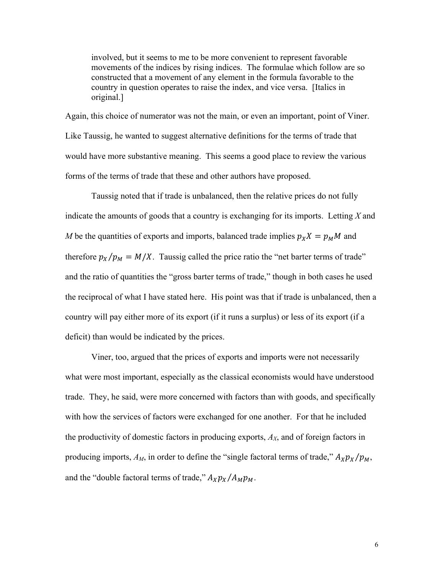involved, but it seems to me to be more convenient to represent favorable movements of the indices by rising indices. The formulae which follow are so constructed that a movement of any element in the formula favorable to the country in question operates to raise the index, and vice versa. [Italics in original.]

Again, this choice of numerator was not the main, or even an important, point of Viner. Like Taussig, he wanted to suggest alternative definitions for the terms of trade that would have more substantive meaning. This seems a good place to review the various forms of the terms of trade that these and other authors have proposed.

Taussig noted that if trade is unbalanced, then the relative prices do not fully indicate the amounts of goods that a country is exchanging for its imports. Letting *X* and *M* be the quantities of exports and imports, balanced trade implies  $p_X X = p_M M$  and therefore  $p_X/p_M = M/X$ . Taussig called the price ratio the "net barter terms of trade" and the ratio of quantities the "gross barter terms of trade," though in both cases he used the reciprocal of what I have stated here. His point was that if trade is unbalanced, then a country will pay either more of its export (if it runs a surplus) or less of its export (if a deficit) than would be indicated by the prices.

Viner, too, argued that the prices of exports and imports were not necessarily what were most important, especially as the classical economists would have understood trade. They, he said, were more concerned with factors than with goods, and specifically with how the services of factors were exchanged for one another. For that he included the productivity of domestic factors in producing exports, *AX*, and of foreign factors in producing imports,  $A_M$ , in order to define the "single factoral terms of trade,"  $A_X p_X / p_M$ , and the "double factoral terms of trade,"  $A_X p_X / A_M p_M$ .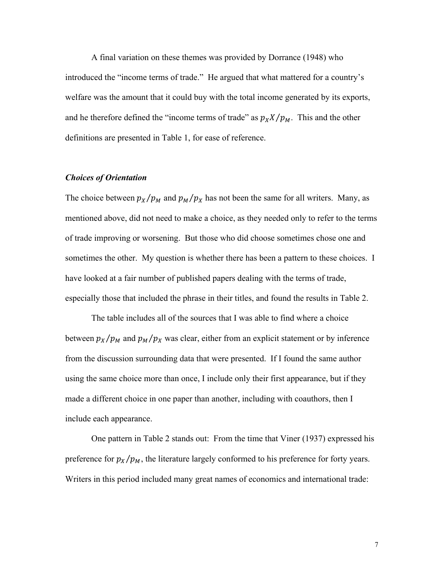A final variation on these themes was provided by Dorrance (1948) who introduced the "income terms of trade." He argued that what mattered for a country's welfare was the amount that it could buy with the total income generated by its exports, and he therefore defined the "income terms of trade" as  $p_X X / p_M$ . This and the other definitions are presented in Table 1, for ease of reference.

#### *Choices of Orientation*

The choice between  $p_X/p_M$  and  $p_M/p_X$  has not been the same for all writers. Many, as mentioned above, did not need to make a choice, as they needed only to refer to the terms of trade improving or worsening. But those who did choose sometimes chose one and sometimes the other. My question is whether there has been a pattern to these choices. I have looked at a fair number of published papers dealing with the terms of trade, especially those that included the phrase in their titles, and found the results in Table 2.

The table includes all of the sources that I was able to find where a choice between  $p_X/p_M$  and  $p_M/p_X$  was clear, either from an explicit statement or by inference from the discussion surrounding data that were presented. If I found the same author using the same choice more than once, I include only their first appearance, but if they made a different choice in one paper than another, including with coauthors, then I include each appearance.

One pattern in Table 2 stands out: From the time that Viner (1937) expressed his preference for  $p_X/p_M$ , the literature largely conformed to his preference for forty years. Writers in this period included many great names of economics and international trade: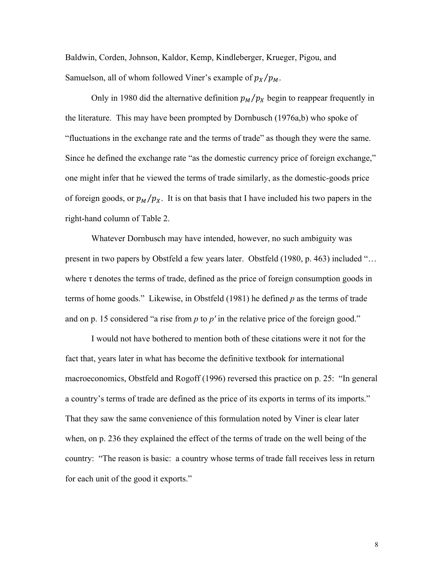Baldwin, Corden, Johnson, Kaldor, Kemp, Kindleberger, Krueger, Pigou, and Samuelson, all of whom followed Viner's example of  $p_X/p_M$ .

Only in 1980 did the alternative definition  $p_M/p_X$  begin to reappear frequently in the literature. This may have been prompted by Dornbusch (1976a,b) who spoke of "fluctuations in the exchange rate and the terms of trade" as though they were the same. Since he defined the exchange rate "as the domestic currency price of foreign exchange," one might infer that he viewed the terms of trade similarly, as the domestic-goods price of foreign goods, or  $p_M/p_X$ . It is on that basis that I have included his two papers in the right-hand column of Table 2.

Whatever Dornbusch may have intended, however, no such ambiguity was present in two papers by Obstfeld a few years later. Obstfeld (1980, p. 463) included "… where  $\tau$  denotes the terms of trade, defined as the price of foreign consumption goods in terms of home goods." Likewise, in Obstfeld (1981) he defined *p* as the terms of trade and on p. 15 considered "a rise from *p* to *p'* in the relative price of the foreign good."

I would not have bothered to mention both of these citations were it not for the fact that, years later in what has become the definitive textbook for international macroeconomics, Obstfeld and Rogoff (1996) reversed this practice on p. 25: "In general a country's terms of trade are defined as the price of its exports in terms of its imports." That they saw the same convenience of this formulation noted by Viner is clear later when, on p. 236 they explained the effect of the terms of trade on the well being of the country: "The reason is basic: a country whose terms of trade fall receives less in return for each unit of the good it exports."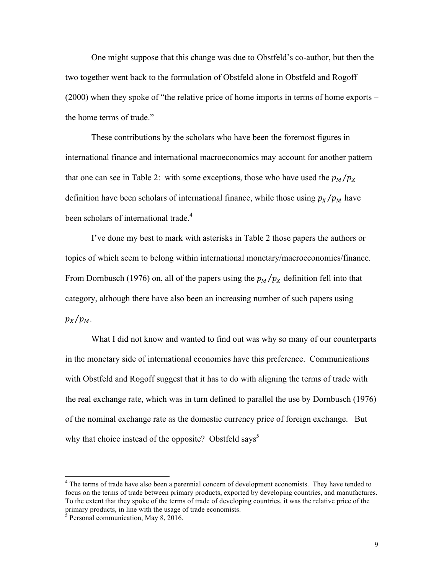One might suppose that this change was due to Obstfeld's co-author, but then the two together went back to the formulation of Obstfeld alone in Obstfeld and Rogoff (2000) when they spoke of "the relative price of home imports in terms of home exports – the home terms of trade."

These contributions by the scholars who have been the foremost figures in international finance and international macroeconomics may account for another pattern that one can see in Table 2: with some exceptions, those who have used the  $p_M/p_X$ definition have been scholars of international finance, while those using  $p_X/p_M$  have been scholars of international trade.<sup>4</sup>

I've done my best to mark with asterisks in Table 2 those papers the authors or topics of which seem to belong within international monetary/macroeconomics/finance. From Dornbusch (1976) on, all of the papers using the  $p_M/p_X$  definition fell into that category, although there have also been an increasing number of such papers using  $p_X/p_M$ .

What I did not know and wanted to find out was why so many of our counterparts in the monetary side of international economics have this preference. Communications with Obstfeld and Rogoff suggest that it has to do with aligning the terms of trade with the real exchange rate, which was in turn defined to parallel the use by Dornbusch (1976) of the nominal exchange rate as the domestic currency price of foreign exchange. But why that choice instead of the opposite? Obstfeld says<sup>5</sup>

<sup>&</sup>lt;sup>4</sup> The terms of trade have also been a perennial concern of development economists. They have tended to focus on the terms of trade between primary products, exported by developing countries, and manufactures. To the extent that they spoke of the terms of trade of developing countries, it was the relative price of the primary products, in line with the usage of trade economists.

<sup>&</sup>lt;sup>3</sup> Personal communication, May 8, 2016.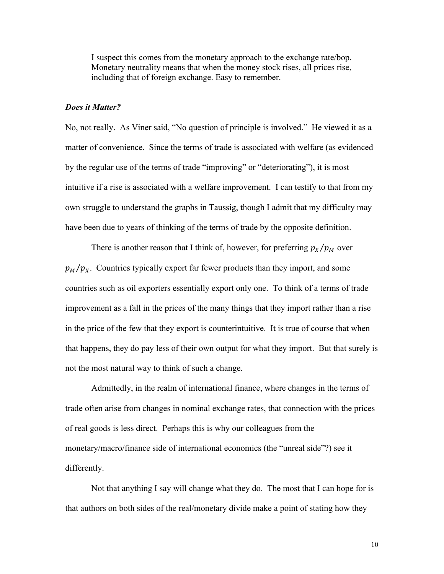I suspect this comes from the monetary approach to the exchange rate/bop. Monetary neutrality means that when the money stock rises, all prices rise, including that of foreign exchange. Easy to remember.

#### *Does it Matter?*

No, not really. As Viner said, "No question of principle is involved." He viewed it as a matter of convenience. Since the terms of trade is associated with welfare (as evidenced by the regular use of the terms of trade "improving" or "deteriorating"), it is most intuitive if a rise is associated with a welfare improvement. I can testify to that from my own struggle to understand the graphs in Taussig, though I admit that my difficulty may have been due to years of thinking of the terms of trade by the opposite definition.

There is another reason that I think of, however, for preferring  $p_X/p_M$  over  $p_M/p_X$ . Countries typically export far fewer products than they import, and some countries such as oil exporters essentially export only one. To think of a terms of trade improvement as a fall in the prices of the many things that they import rather than a rise in the price of the few that they export is counterintuitive. It is true of course that when that happens, they do pay less of their own output for what they import. But that surely is not the most natural way to think of such a change.

Admittedly, in the realm of international finance, where changes in the terms of trade often arise from changes in nominal exchange rates, that connection with the prices of real goods is less direct. Perhaps this is why our colleagues from the monetary/macro/finance side of international economics (the "unreal side"?) see it differently.

Not that anything I say will change what they do. The most that I can hope for is that authors on both sides of the real/monetary divide make a point of stating how they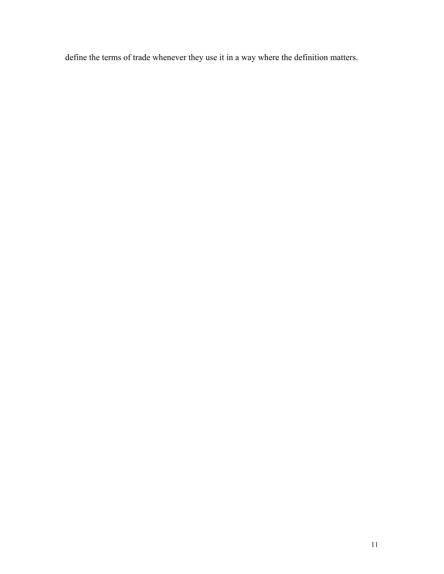define the terms of trade whenever they use it in a way where the definition matters.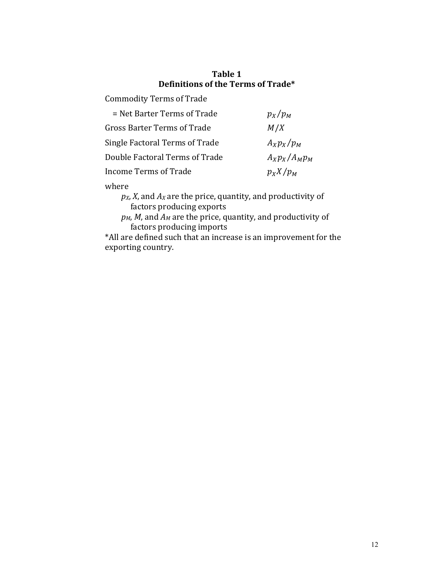## **Table 1 Definitions of the Terms of Trade\***

Commodity Terms of Trade

| = Net Barter Terms of Trade        | $p_{X}/p_{M}$     |
|------------------------------------|-------------------|
| <b>Gross Barter Terms of Trade</b> | M/X               |
| Single Factoral Terms of Trade     | $A_X p_X / p_M$   |
| Double Factoral Terms of Trade     | $A_X p_X/A_M p_M$ |
| Income Terms of Trade              | $p_X X / p_M$     |

where 

 $p_X$ , *X*, and  $A_X$  are the price, quantity, and productivity of factors producing exports

 $p_M$ , *M*, and  $A_M$  are the price, quantity, and productivity of factors producing imports

\*All are defined such that an increase is an improvement for the exporting country.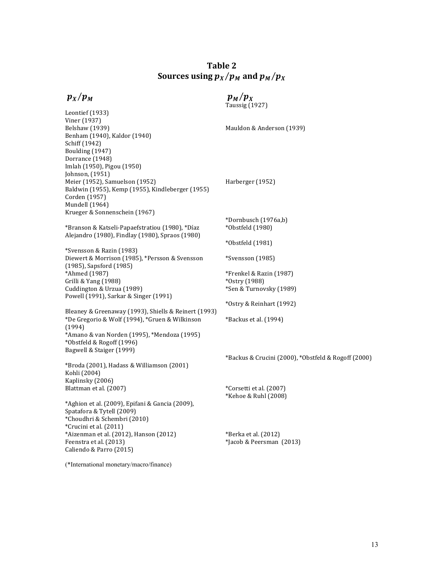## **Table 2** Sources using  $p_X/p_M$  and  $p_M/p_X$

## $p_X/p_M$   $p_M/p_X$

# Taussig (1927)

Leontief (1933) Viner (1937) Belshaw (1939) **Mauldon & Anderson** (1939) Benham (1940), Kaldor (1940) Schiff (1942) Boulding (1947) Dorrance (1948) Imlah (1950), Pigou (1950) Johnson, (1951) Meier (1952), Samuelson (1952) Harberger (1952) Baldwin (1955), Kemp (1955), Kindleberger (1955) Corden (1957) Mundell (1964) Krueger & Sonnenschein (1967) \*Dornbusch (1976a,b) \*Branson & Katseli-Papaefstratiou (1980), \*Díaz Alejandro (1980), Findlay (1980), Spraos (1980) \*Obstfeld (1980) \*Obstfeld (1981) \*Svensson & Razin (1983) Diewert & Morrison (1985), \*Persson & Svensson (1985), Sapsford (1985) \*Svensson (1985) \*Ahmed (1987) \*Frenkel & Razin (1987) Grilli & Yang  $(1988)$   $*$ Ostry  $(1988)$ Cuddington & Urzua (1989)  $\qquad$  \*Sen & Turnovsky (1989) Powell (1991), Sarkar & Singer (1991) \*Ostry & Reinhart (1992) Bleaney & Greenaway (1993), Shiells & Reinert (1993) \*De Gregorio & Wolf (1994), \*Gruen & Wilkinson (1994) \*Backus et al. (1994) \*Amano & van Norden (1995), \*Mendoza (1995) \*Obstfeld & Rogoff (1996) Bagwell & Staiger (1999)  $*Broda (2001)$ , Hadass & Williamson (2001) Kohli (2004) Kaplinsky (2006) Blattman et al. (2007)  $*$ Corsetti et al. (2007) \*Kehoe & Ruhl (2008) \*Aghion et al. (2009), Epifani & Gancia (2009), Spatafora & Tytell (2009) \*Choudhri & Schembri (2010) \*Crucini et al. (2011)  $*$ Aizenman et al. (2012), Hanson (2012)  $*$ Berka et al. (2012) Feenstra et al. (2013)  $*$ Jacob & Peersman (2013)

(\*International monetary/macro/finance)

Caliendo & Parro (2015)

\*Backus & Crucini (2000), \*Obstfeld & Rogoff (2000)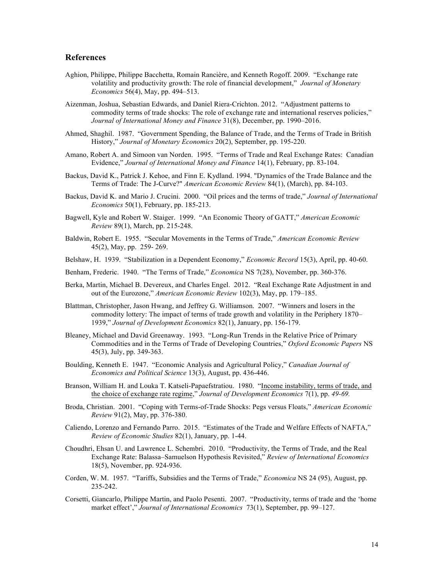#### **References**

- Aghion, Philippe, Philippe Bacchetta, Romain Rancière, and Kenneth Rogoff. 2009. "Exchange rate volatility and productivity growth: The role of financial development," *Journal of Monetary Economics* 56(4), May, pp. 494–513.
- Aizenman, Joshua, Sebastian Edwards, and Daniel Riera-Crichton. 2012. "Adjustment patterns to commodity terms of trade shocks: The role of exchange rate and international reserves policies," *Journal of International Money and Finance* 31(8), December, pp. 1990–2016.
- Ahmed, Shaghil. 1987. "Government Spending, the Balance of Trade, and the Terms of Trade in British History," *Journal of Monetary Economics* 20(2), September, pp. 195-220.
- Amano, Robert A. and Simoon van Norden. 1995. "Terms of Trade and Real Exchange Rates: Canadian Evidence," *Journal of International Money and Finance* 14(1), February, pp. 83-104.
- Backus, David K., Patrick J. Kehoe, and Finn E. Kydland. 1994. "Dynamics of the Trade Balance and the Terms of Trade: The J-Curve?" *American Economic Review* 84(1), (March), pp. 84-103.
- Backus, David K. and Mario J. Crucini. 2000. "Oil prices and the terms of trade," *Journal of International Economics* 50(1), February, pp. 185-213.
- Bagwell, Kyle and Robert W. Staiger. 1999. "An Economic Theory of GATT," *American Economic Review* 89(1), March, pp. 215-248.
- Baldwin, Robert E. 1955. "Secular Movements in the Terms of Trade," *American Economic Review* 45(2), May, pp. 259- 269.
- Belshaw, H. 1939. "Stabilization in a Dependent Economy," *Economic Record* 15(3), April, pp. 40-60.
- Benham, Frederic. 1940. "The Terms of Trade," *Economica* NS 7(28), November, pp. 360-376.
- Berka, Martin, Michael B. Devereux, and Charles Engel. 2012. "Real Exchange Rate Adjustment in and out of the Eurozone," *American Economic Review* 102(3), May, pp. 179–185.
- Blattman, Christopher, Jason Hwang, and Jeffrey G. Williamson. 2007. "Winners and losers in the commodity lottery: The impact of terms of trade growth and volatility in the Periphery 1870– 1939," *Journal of Development Economics* 82(1), January, pp. 156-179.
- Bleaney, Michael and David Greenaway. 1993. "Long-Run Trends in the Relative Price of Primary Commodities and in the Terms of Trade of Developing Countries," *Oxford Economic Papers* NS 45(3), July, pp. 349-363.
- Boulding, Kenneth E. 1947. "Economic Analysis and Agricultural Policy," *Canadian Journal of Economics and Political Science* 13(3), August, pp. 436-446.
- Branson, William H. and Louka T. Katseli-Papaefstratiou. 1980. "Income instability, terms of trade, and the choice of exchange rate regime," *Journal of Development Economics* 7(1), pp. *49-69.*
- Broda, Christian. 2001. "Coping with Terms-of-Trade Shocks: Pegs versus Floats," *American Economic Review* 91(2), May, pp. 376-380.
- Caliendo, Lorenzo and Fernando Parro. 2015. "Estimates of the Trade and Welfare Effects of NAFTA," *Review of Economic Studies* 82(1), January, pp. 1-44.
- Choudhri, Ehsan U. and Lawrence L. Schembri. 2010. "Productivity, the Terms of Trade, and the Real Exchange Rate: Balassa–Samuelson Hypothesis Revisited," *Review of International Economics* 18(5), November, pp. 924-936.
- Corden, W. M. 1957. "Tariffs, Subsidies and the Terms of Trade," *Economica* NS 24 (95), August, pp. 235-242.
- Corsetti, Giancarlo, Philippe Martin, and Paolo Pesenti. 2007. "Productivity, terms of trade and the 'home market effect'," *Journal of International Economics* 73(1), September, pp. 99–127.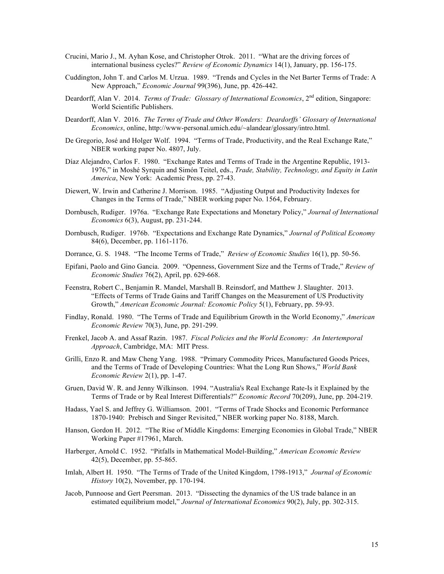- Crucini, Mario J., M. Ayhan Kose, and Christopher Otrok. 2011. "What are the driving forces of international business cycles?" *Review of Economic Dynamics* 14(1), January, pp. 156-175.
- Cuddington, John T. and Carlos M. Urzua. 1989. "Trends and Cycles in the Net Barter Terms of Trade: A New Approach," *Economic Journal* 99(396), June, pp. 426-442.
- Deardorff, Alan V. 2014. *Terms of Trade: Glossary of International Economics*, 2<sup>nd</sup> edition, Singapore: World Scientific Publishers.
- Deardorff, Alan V. 2016. *The Terms of Trade and Other Wonders: Deardorffs' Glossary of International Economics*, online, http://www-personal.umich.edu/~alandear/glossary/intro.html.
- De Gregorio, José and Holger Wolf. 1994. "Terms of Trade, Productivity, and the Real Exchange Rate," NBER working paper No. 4807, July.
- Díaz Alejandro, Carlos F. 1980. "Exchange Rates and Terms of Trade in the Argentine Republic, 1913- 1976," in Moshé Syrquin and Simón Teitel, eds., *Trade, Stability, Technology, and Equity in Latin America*, New York: Academic Press, pp. 27-43.
- Diewert, W. Irwin and Catherine J. Morrison. 1985. "Adjusting Output and Productivity Indexes for Changes in the Terms of Trade," NBER working paper No. 1564, February.
- Dornbusch, Rudiger. 1976a. "Exchange Rate Expectations and Monetary Policy," *Journal of International Economics* 6(3), August, pp. 231-244.
- Dornbusch, Rudiger. 1976b. "Expectations and Exchange Rate Dynamics," *Journal of Political Economy* 84(6), December, pp. 1161-1176.
- Dorrance, G. S. 1948. "The Income Terms of Trade," *Review of Economic Studies* 16(1), pp. 50-56.
- Epifani, Paolo and Gino Gancia. 2009. "Openness, Government Size and the Terms of Trade," *Review of Economic Studies* 76(2), April, pp. 629-668.
- Feenstra, Robert C., Benjamin R. Mandel, Marshall B. Reinsdorf, and Matthew J. Slaughter. 2013. "Effects of Terms of Trade Gains and Tariff Changes on the Measurement of US Productivity Growth," *American Economic Journal: Economic Policy* 5(1), February, pp. 59-93.
- Findlay, Ronald. 1980. "The Terms of Trade and Equilibrium Growth in the World Economy," *American Economic Review* 70(3), June, pp. 291-299.
- Frenkel, Jacob A. and Assaf Razin. 1987. *Fiscal Policies and the World Economy: An Intertemporal Approach*, Cambridge, MA: MIT Press.
- Grilli, Enzo R. and Maw Cheng Yang. 1988. "Primary Commodity Prices, Manufactured Goods Prices, and the Terms of Trade of Developing Countries: What the Long Run Shows," *World Bank Economic Review* 2(1), pp. 1-47.
- Gruen, David W. R. and Jenny Wilkinson. 1994. "Australia's Real Exchange Rate-Is it Explained by the Terms of Trade or by Real Interest Differentials?" *Economic Record* 70(209), June, pp. 204-219.
- Hadass, Yael S. and Jeffrey G. Williamson. 2001. "Terms of Trade Shocks and Economic Performance 1870-1940: Prebisch and Singer Revisited," NBER working paper No. 8188, March.
- Hanson, Gordon H. 2012. "The Rise of Middle Kingdoms: Emerging Economies in Global Trade," NBER Working Paper #17961, March.
- Harberger, Arnold C. 1952. "Pitfalls in Mathematical Model-Building," *American Economic Review*  42(5), December, pp. 55-865.
- Imlah, Albert H. 1950. "The Terms of Trade of the United Kingdom, 1798-1913," *Journal of Economic History* 10(2), November, pp. 170-194.
- Jacob, Punnoose and Gert Peersman. 2013. "Dissecting the dynamics of the US trade balance in an estimated equilibrium model," *Journal of International Economics* 90(2), July, pp. 302-315.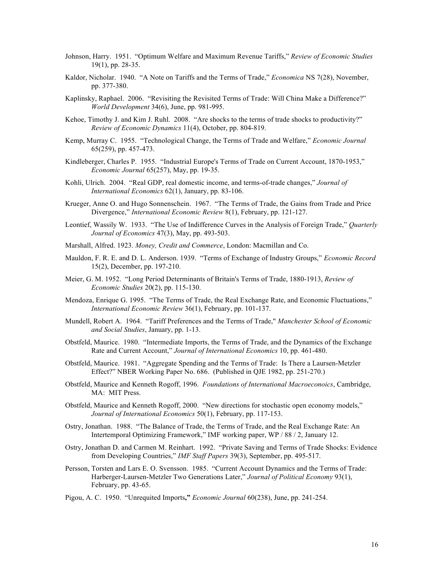- Johnson, Harry. 1951. "Optimum Welfare and Maximum Revenue Tariffs," *Review of Economic Studies* 19(1), pp. 28-35.
- Kaldor, Nicholar. 1940. "A Note on Tariffs and the Terms of Trade," *Economica* NS 7(28), November, pp. 377-380.
- Kaplinsky, Raphael. 2006. "Revisiting the Revisited Terms of Trade: Will China Make a Difference?" *World Development* 34(6), June, pp. 981-995.
- Kehoe, Timothy J. and Kim J. Ruhl. 2008. "Are shocks to the terms of trade shocks to productivity?" *Review of Economic Dynamics* 11(4), October, pp. 804-819.
- Kemp, Murray C. 1955. "Technological Change, the Terms of Trade and Welfare," *Economic Journal* 65(259), pp. 457-473.
- Kindleberger, Charles P. 1955. "Industrial Europe's Terms of Trade on Current Account, 1870-1953," *Economic Journal* 65(257), May, pp. 19-35.
- Kohli, Ulrich. 2004. "Real GDP, real domestic income, and terms-of-trade changes," *Journal of International Economics* 62(1), January, pp. 83-106.
- Krueger, Anne O. and Hugo Sonnenschein. 1967. "The Terms of Trade, the Gains from Trade and Price Divergence," *International Economic Review* 8(1), February, pp. 121-127.
- Leontief, Wassily W. 1933. "The Use of Indifference Curves in the Analysis of Foreign Trade," *Quarterly Journal of Economics* 47(3), May, pp. 493-503.
- Marshall, Alfred. 1923. *Money, Credit and Commerce*, London: Macmillan and Co.
- Mauldon, F. R. E. and D. L. Anderson. 1939. "Terms of Exchange of Industry Groups," *Economic Record* 15(2), December, pp. 197-210.
- Meier, G. M. 1952. "Long Period Determinants of Britain's Terms of Trade, 1880-1913, *Review of Economic Studies* 20(2), pp. 115-130.
- Mendoza, Enrique G. 1995. "The Terms of Trade, the Real Exchange Rate, and Economic Fluctuations," *International Economic Review* 36(1), February, pp. 101-137.
- Mundell, Robert A. 1964. "Tariff Preferences and the Terms of Trade," *Manchester School of Economic and Social Studies*, January, pp. 1-13.
- Obstfeld, Maurice. 1980. "Intermediate Imports, the Terms of Trade, and the Dynamics of the Exchange Rate and Current Account," *Journal of International Economics* 10, pp. 461-480.
- Obstfeld, Maurice. 1981. "Aggregate Spending and the Terms of Trade: Is There a Laursen-Metzler Effect?" NBER Working Paper No. 686. (Published in QJE 1982, pp. 251-270.)
- Obstfeld, Maurice and Kenneth Rogoff, 1996. *Foundations of International Macroeconoics*, Cambridge, MA: MIT Press.
- Obstfeld, Maurice and Kenneth Rogoff, 2000. "New directions for stochastic open economy models," *Journal of International Economics* 50(1), February, pp. 117-153.
- Ostry, Jonathan. 1988. "The Balance of Trade, the Terms of Trade, and the Real Exchange Rate: An Intertemporal Optimizing Framework," IMF working paper, WP / 88 / 2, January 12.
- Ostry, Jonathan D. and Carmen M. Reinhart. 1992. "Private Saving and Terms of Trade Shocks: Evidence from Developing Countries," *IMF Staff Papers* 39(3), September, pp. 495-517.
- Persson, Torsten and Lars E. O. Svensson. 1985. "Current Account Dynamics and the Terms of Trade: Harberger-Laursen-Metzler Two Generations Later," *Journal of Political Economy* 93(1), February, pp. 43-65.
- Pigou, A. C. 1950. "Unrequited Imports**,"** *Economic Journal* 60(238), June, pp. 241-254.